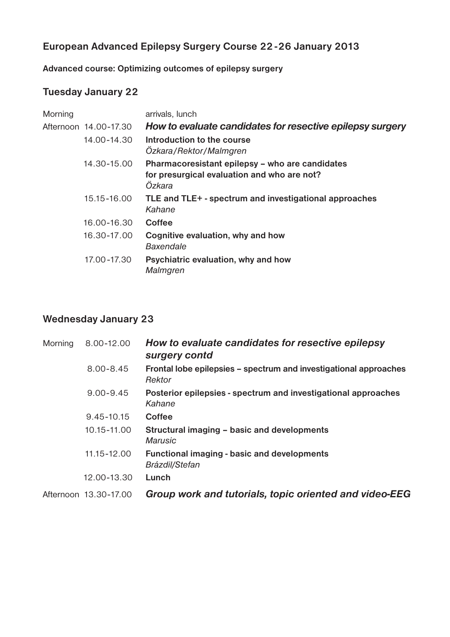### **European Advanced Epilepsy Surgery Course 22 -26 January 2013**

**Advanced course: Optimizing outcomes of epilepsy surgery**

### **Tuesday January 22**

| Morning |                       | arrivals, lunch                                                                                          |
|---------|-----------------------|----------------------------------------------------------------------------------------------------------|
|         | Afternoon 14,00-17.30 | How to evaluate candidates for resective epilepsy surgery                                                |
|         | 14.00-14.30           | Introduction to the course<br>Ozkara/Rektor/Malmgren                                                     |
|         | 14.30-15.00           | Pharmacoresistant epilepsy - who are candidates<br>for presurgical evaluation and who are not?<br>Özkara |
|         | 15.15-16.00           | TLE and TLE+ - spectrum and investigational approaches<br>Kahane                                         |
|         | 16.00-16.30           | <b>Coffee</b>                                                                                            |
|         | 16.30-17.00           | Cognitive evaluation, why and how<br><b>Baxendale</b>                                                    |
|         | 17.00-17.30           | Psychiatric evaluation, why and how<br>Malmgren                                                          |
|         |                       |                                                                                                          |

### **Wednesday January 23**

| Morning | 8.00-12.00            | How to evaluate candidates for resective epilepsy<br>surgery contd          |
|---------|-----------------------|-----------------------------------------------------------------------------|
|         | $8.00 - 8.45$         | Frontal lobe epilepsies - spectrum and investigational approaches<br>Rektor |
|         | $9.00 - 9.45$         | Posterior epilepsies - spectrum and investigational approaches<br>Kahane    |
|         | 9.45-10.15            | Coffee                                                                      |
|         | 10.15-11.00           | Structural imaging - basic and developments<br><b>Marusic</b>               |
|         | 11.15-12.00           | <b>Functional imaging - basic and developments</b><br>Brázdil/Stefan        |
|         | 12.00-13.30           | Lunch                                                                       |
|         | Afternoon 13.30-17.00 | Group work and tutorials, topic oriented and video-EEG                      |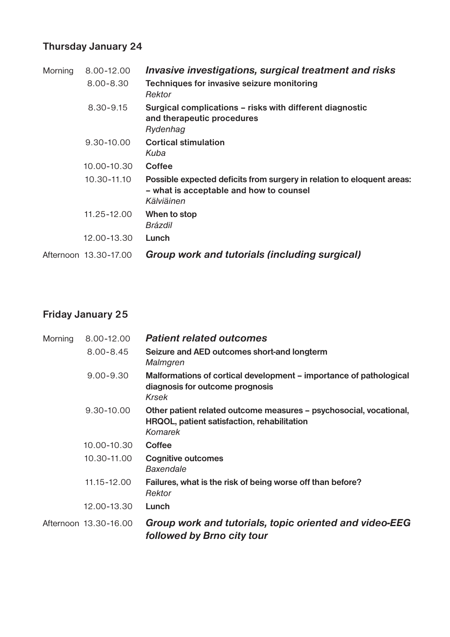# **Thursday January 24**

| Morning | 8.00-12.00            | Invasive investigations, surgical treatment and risks                                                                           |
|---------|-----------------------|---------------------------------------------------------------------------------------------------------------------------------|
|         | $8.00 - 8.30$         | Techniques for invasive seizure monitoring<br>Rektor                                                                            |
|         | 8.30-9.15             | Surgical complications – risks with different diagnostic<br>and therapeutic procedures<br>Rydenhag                              |
|         | $9.30 - 10.00$        | <b>Cortical stimulation</b><br>Kuba                                                                                             |
|         | 10.00-10.30           | <b>Coffee</b>                                                                                                                   |
|         | 10.30-11.10           | Possible expected deficits from surgery in relation to eloquent areas:<br>- what is acceptable and how to counsel<br>Kälviäinen |
|         | 11.25-12.00           | When to stop<br>Brázdil                                                                                                         |
|         | 12.00-13.30           | Lunch                                                                                                                           |
|         | Afternoon 13.30-17.00 | Group work and tutorials (including surgical)                                                                                   |

# **Friday January 25**

| Morning | 8.00-12.00            | <b>Patient related outcomes</b>                                                                                                     |
|---------|-----------------------|-------------------------------------------------------------------------------------------------------------------------------------|
|         | $8.00 - 8.45$         | Seizure and AED outcomes short-and longterm<br>Malmgren                                                                             |
|         | $9.00 - 9.30$         | Malformations of cortical development – importance of pathological<br>diagnosis for outcome prognosis<br>Krsek                      |
|         | 9.30-10.00            | Other patient related outcome measures - psychosocial, vocational,<br>HRQOL, patient satisfaction, rehabilitation<br><b>Komarek</b> |
|         | 10.00-10.30           | Coffee                                                                                                                              |
|         | 10.30-11.00           | <b>Cognitive outcomes</b><br>Baxendale                                                                                              |
|         | 11.15-12.00           | Failures, what is the risk of being worse off than before?<br>Rektor                                                                |
|         | 12.00-13.30           | Lunch                                                                                                                               |
|         | Afternoon 13.30-16.00 | Group work and tutorials, topic oriented and video-EEG<br>followed by Brno city tour                                                |